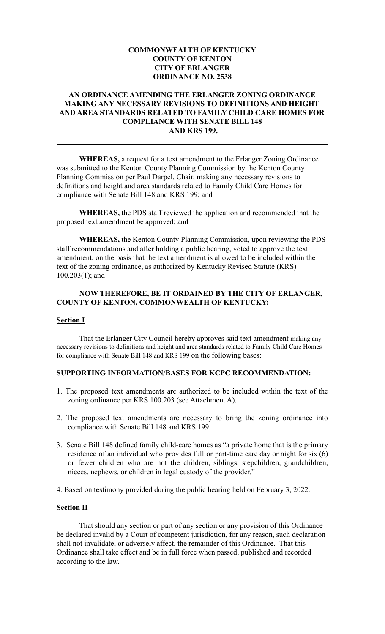### **COMMONWEALTH OF KENTUCKY COUNTY OF KENTON CITY OF ERLANGER ORDINANCE NO. 2538**

## **AN ORDINANCE AMENDING THE ERLANGER ZONING ORDINANCE MAKING ANY NECESSARY REVISIONS TO DEFINITIONS AND HEIGHT AND AREA STANDARDS RELATED TO FAMILY CHILD CARE HOMES FOR COMPLIANCE WITH SENATE BILL 148 AND KRS 199.**

**WHEREAS,** a request for a text amendment to the Erlanger Zoning Ordinance was submitted to the Kenton County Planning Commission by the Kenton County Planning Commission per Paul Darpel, Chair, making any necessary revisions to definitions and height and area standards related to Family Child Care Homes for compliance with Senate Bill 148 and KRS 199; and

**WHEREAS,** the PDS staff reviewed the application and recommended that the proposed text amendment be approved; and

**WHEREAS,** the Kenton County Planning Commission, upon reviewing the PDS staff recommendations and after holding a public hearing, voted to approve the text amendment, on the basis that the text amendment is allowed to be included within the text of the zoning ordinance, as authorized by Kentucky Revised Statute (KRS) 100.203(1); and

#### **NOW THEREFORE, BE IT ORDAINED BY THE CITY OF ERLANGER, COUNTY OF KENTON, COMMONWEALTH OF KENTUCKY:**

#### **Section I**

That the Erlanger City Council hereby approves said text amendment making any necessary revisions to definitions and height and area standards related to Family Child Care Homes for compliance with Senate Bill 148 and KRS 199 on the following bases:

# **SUPPORTING INFORMATION/BASES FOR KCPC RECOMMENDATION:**

- 1. The proposed text amendments are authorized to be included within the text of the zoning ordinance per KRS 100.203 (see Attachment A).
- 2. The proposed text amendments are necessary to bring the zoning ordinance into compliance with Senate Bill 148 and KRS 199.
- 3. Senate Bill 148 defined family child-care homes as "a private home that is the primary residence of an individual who provides full or part-time care day or night for six (6) or fewer children who are not the children, siblings, stepchildren, grandchildren, nieces, nephews, or children in legal custody of the provider."

4. Based on testimony provided during the public hearing held on February 3, 2022.

#### **Section II**

That should any section or part of any section or any provision of this Ordinance be declared invalid by a Court of competent jurisdiction, for any reason, such declaration shall not invalidate, or adversely affect, the remainder of this Ordinance. That this Ordinance shall take effect and be in full force when passed, published and recorded according to the law.